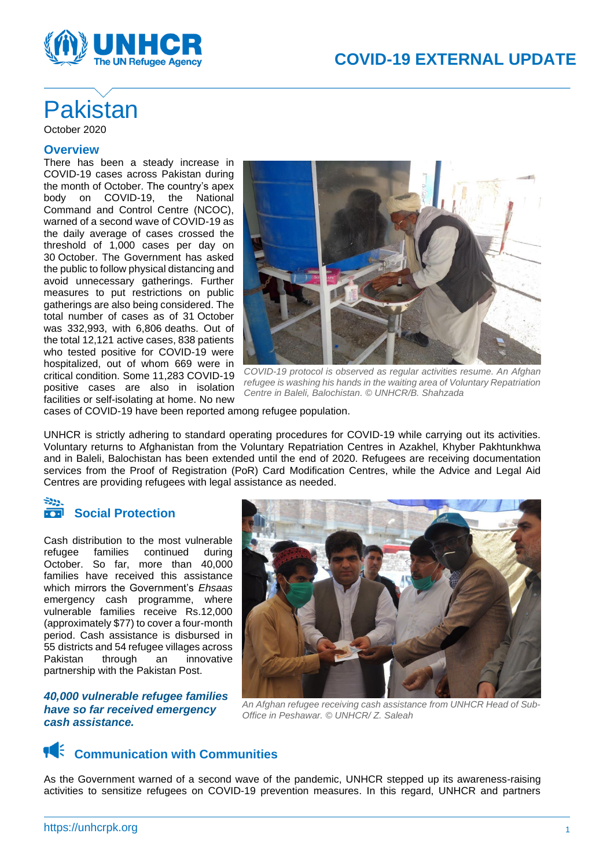

# **Pakistan** October 2020

#### **Overview**

There has been a steady increase in COVID-19 cases across Pakistan during the month of October. The country's apex body on COVID-19, the National Command and Control Centre (NCOC), warned of a second wave of COVID-19 as the daily average of cases crossed the threshold of 1,000 cases per day on 30 October. The Government has asked the public to follow physical distancing and avoid unnecessary gatherings. Further measures to put restrictions on public gatherings are also being considered. The total number of cases as of 31 October was 332,993, with 6,806 deaths. Out of the total 12,121 active cases, 838 patients who tested positive for COVID-19 were hospitalized, out of whom 669 were in critical condition. Some 11,283 COVID-19 positive cases are also in isolation facilities or self-isolating at home. No new



*COVID-19 protocol is observed as regular activities resume. An Afghan refugee is washing his hands in the waiting area of Voluntary Repatriation Centre in Baleli, Balochistan. © UNHCR/B. Shahzada*

cases of COVID-19 have been reported among refugee population.

UNHCR is strictly adhering to standard operating procedures for COVID-19 while carrying out its activities. Voluntary returns to Afghanistan from the Voluntary Repatriation Centres in Azakhel, Khyber Pakhtunkhwa and in Baleli, Balochistan has been extended until the end of 2020. Refugees are receiving documentation services from the Proof of Registration (PoR) Card Modification Centres, while the Advice and Legal Aid Centres are providing refugees with legal assistance as needed.

## **Social Protection**

Cash distribution to the most vulnerable refugee families continued during October. So far, more than 40,000 families have received this assistance which mirrors the Government's *Ehsaas* emergency cash programme, where vulnerable families receive Rs.12,000 (approximately \$77) to cover a four-month period. Cash assistance is disbursed in 55 districts and 54 refugee villages across Pakistan through an innovative partnership with the Pakistan Post.

*40,000 vulnerable refugee families have so far received emergency cash assistance.*



*An Afghan refugee receiving cash assistance from UNHCR Head of Sub-Office in Peshawar. © UNHCR/ Z. Saleah*

### **Communication with Communities**

As the Government warned of a second wave of the pandemic, UNHCR stepped up its awareness-raising activities to sensitize refugees on COVID-19 prevention measures. In this regard, UNHCR and partners